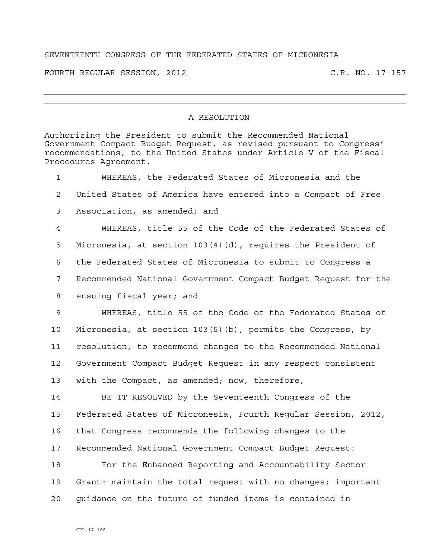## SEVENTEENTH CONGRESS OF THE FEDERATED STATES OF MICRONESIA

FOURTH REGULAR SESSION, 2012 C.R. NO. 17-157

## A RESOLUTION

Authorizing the President to submit the Recommended National Government Compact Budget Request, as revised pursuant to Congress' recommendations, to the United States under Article V of the Fiscal Procedures Agreement. 1 WHEREAS, the Federated States of Micronesia and the 2 United States of America have entered into a Compact of Free 3 Association, as amended; and 4 WHEREAS, title 55 of the Code of the Federated States of 5 Micronesia, at section 103(4)(d), requires the President of 6 the Federated States of Micronesia to submit to Congress a 7 Recommended National Government Compact Budget Request for the 8 ensuing fiscal year; and 9 WHEREAS, title 55 of the Code of the Federated States of 10 Micronesia, at section 103(5)(b), permits the Congress, by 11 resolution, to recommend changes to the Recommended National 12 Government Compact Budget Request in any respect consistent 13 with the Compact, as amended; now, therefore, 14 BE IT RESOLVED by the Seventeenth Congress of the 15 Federated States of Micronesia, Fourth Regular Session, 2012, 16 that Congress recommends the following changes to the 17 Recommended National Government Compact Budget Request: 18 For the Enhanced Reporting and Accountability Sector 19 Grant: maintain the total request with no changes; important 20 guidance on the future of funded items is contained in